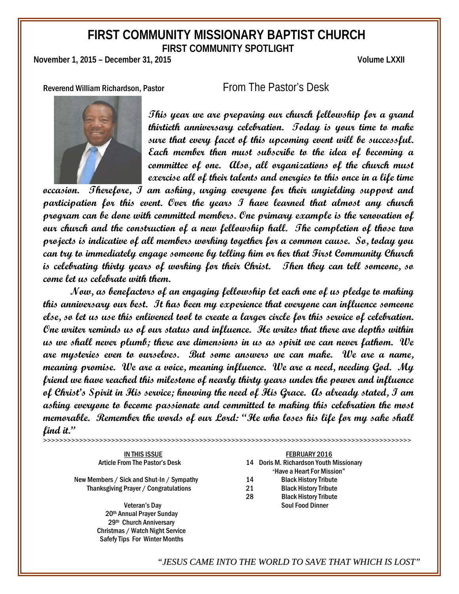# **FIRST COMMUNITY MISSIONARY BAPTIST CHURCH FIRST COMMUNITY SPOTLIGHT**

**November 1, 2015 – December 31, 2015 Volume LXXII**

Reverend William Richardson, Pastor From The Pastor's Desk



**This year we are preparing our church fellowship for a grand thirtieth anniversary celebration. Today is your time to make sure that every facet of this upcoming event will be successful. Each member then must subscribe to the idea of becoming a committee of one. Also, all organizations of the church must exercise all of their talents and energies to this once in a life time** 

**occasion. Therefore, I am asking, urging everyone for their unyielding support and participation for this event. Over the years I have learned that almost any church program can be done with committed members. One primary example is the renovation of our church and the construction of a new fellowship hall. The completion of those two projects is indicative of all members working together for a common cause. So, today you can try to immediately engage someone by telling him or her that First Community Church is celebrating thirty years of working for their Christ. Then they can tell someone, so come let us celebrate with them.**

**Now, as benefactors of an engaging fellowship let each one of us pledge to making this anniversary our best. It has been my experience that everyone can influence someone else, so let us use this enlivened tool to create a larger circle for this service of celebration. One writer reminds us of our status and influence. He writes that there are depths within us we shall never plumb; there are dimensions in us as spirit we can never fathom. We are mysteries even to ourselves. But some answers we can make. We are a name, meaning promise. We are a voice, meaning influence. We are a need, needing God. My friend we have reached this milestone of nearly thirty years under the power and influence of Christ's Spirit in His service; knowing the need of His Grace. As already stated, I am asking everyone to become passionate and committed to making this celebration the most memorable. Remember the words of our Lord: "He who loses his life for my sake shall find it."**

**>>>>>>>>>>>>>>>>>>>>>>>>>>>>>>>>>>>>>>>>>>>>>>>>>>>>>>>>>>>>>>>>>>>>>>>>>>>>>>>>>>>>>>>>>>>>**

New Members / Sick and Shut-In / Sympathy 14 Black History Tribute<br>Thanksgiving Praver / Congratulations 21 Black History Tribute Thanksgiving Prayer / Congratulations 21 Black History Tribute

 20th Annual Prayer Sunday 29th Church Anniversary Christmas / Watch Night Service Safefy Tips For Winter Months

IN THIS ISSUE **FEBRUARY 2016** Article From The Pastor's Desk 14 Doris M. Richardson Youth Missionary "Have a Heart For Mission" 28 Black History Tribute Veteran's Day **Soul Food Dinner** Soul Food Dinner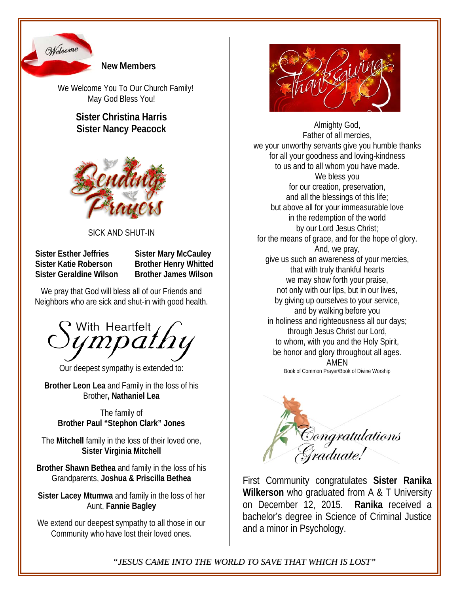

New Members

We Welcome You To Our Church Family! May God Bless You!

## **Sister Christina Harris Sister Nancy Peacock**



### SICK AND SHUT-IN

 **Sister Esther Jeffries Sister Mary McCauley Sister Katie Roberson Brother Henry Whitted Sister Geraldine Wilson Brother James Wilson**

We pray that God will bless all of our Friends and Neighbors who are sick and shut-in with good health.



Our deepest sympathy is extended to:

**Brother Leon Lea** and Family in the loss of his Brother**, Nathaniel Lea**

The family of **Brother Paul "Stephon Clark" Jones**

The **Mitchell** family in the loss of their loved one, **Sister Virginia Mitchell**

**Brother Shawn Bethea** and family in the loss of his Grandparents, **Joshua & Priscilla Bethea**

**Sister Lacey Mtumwa** and family in the loss of her Aunt, **Fannie Bagley**

We extend our deepest sympathy to all those in our Community who have lost their loved ones.



Almighty God, Father of all mercies, we your unworthy servants give you humble thanks for all your goodness and loving-kindness to us and to all whom you have made. We bless you for our creation, preservation, and all the blessings of this life; but above all for your immeasurable love in the redemption of the world by our Lord Jesus Christ; for the means of grace, and for the hope of glory. And, we pray, give us such an awareness of your mercies, that with truly thankful hearts we may show forth your praise, not only with our lips, but in our lives, by giving up ourselves to your service, and by walking before you in holiness and righteousness all our days; through Jesus Christ our Lord, to whom, with you and the Holy Spirit, be honor and glory throughout all ages. AMEN Book of Common Prayer/Book of Divine Worship



First Community congratulates **Sister Ranika Wilkerson** who graduated from A & T University on December 12, 2015. **Ranika** received a bachelor's degree in Science of Criminal Justice and a minor in Psychology.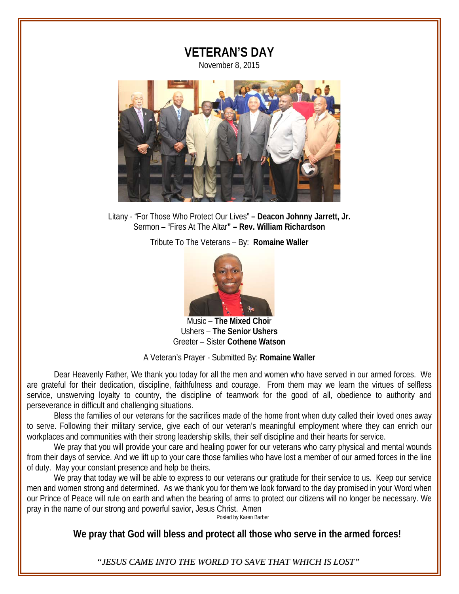

Litany - "For Those Who Protect Our Lives" **– Deacon Johnny Jarrett, Jr.** Sermon – "Fires At The Altar**" – Rev. William Richardson**

Tribute To The Veterans – By: **Romaine Waller**



Music – **The Mixed Choi**r Ushers – **The Senior Ushers** Greeter – Sister **Cothene Watson**

### A Veteran's Prayer - Submitted By: **Romaine Waller**

Dear Heavenly Father, We thank you today for all the men and women who have served in our armed forces. We are grateful for their dedication, discipline, faithfulness and courage. From them may we learn the virtues of selfless service, unswerving loyalty to country, the discipline of teamwork for the good of all, obedience to authority and perseverance in difficult and challenging situations.

Bless the families of our veterans for the sacrifices made of the home front when duty called their loved ones away to serve. Following their military service, give each of our veteran's meaningful employment where they can enrich our workplaces and communities with their strong leadership skills, their self discipline and their hearts for service.

We pray that you will provide your care and healing power for our veterans who carry physical and mental wounds from their days of service. And we lift up to your care those families who have lost a member of our armed forces in the line of duty. May your constant presence and help be theirs.

We pray that today we will be able to express to our veterans our gratitude for their service to us. Keep our service men and women strong and determined. As we thank you for them we look forward to the day promised in your Word when our Prince of Peace will rule on earth and when the bearing of arms to protect our citizens will no longer be necessary. We pray in the name of our strong and powerful savior, Jesus Christ. Amen

Posted by Karen Barber

**We pray that God will bless and protect all those who serve in the armed forces!**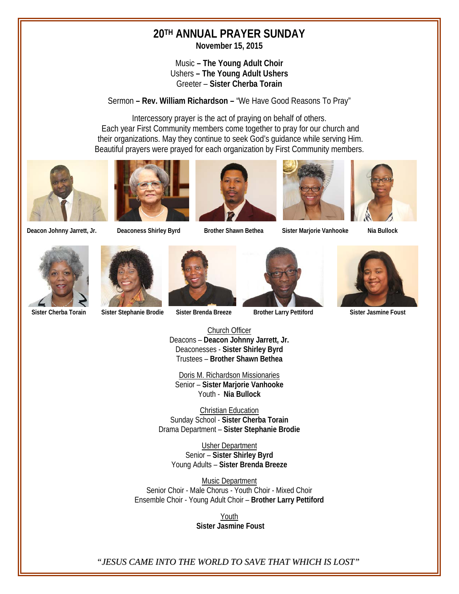# **20TH ANNUAL PRAYER SUNDAY**

**November 15, 2015**

### Music **– The Young Adult Choir** Ushers **– The Young Adult Ushers** Greeter – **Sister Cherba Torain**

Sermon **– Rev. William Richardson –** "We Have Good Reasons To Pray"

Intercessory prayer is the act of praying on behalf of others. Each year First Community members come together to pray for our church and their organizations. May they continue to seek God's guidance while serving Him. Beautiful prayers were prayed for each organization by First Community members.













**Deacon Johnny Jarrett, Jr. Deaconess Shirley Byrd Brother Shawn Bethea Sister Marjorie Vanhooke Nia Bullock**





 **Sister Cherba Torain Sister Stephanie Brodie Sister Brenda Breeze Brother Larry Pettiford Sister Jasmine Foust**







Church Officer Deacons – **Deacon Johnny Jarrett, Jr.** Deaconesses - **Sister Shirley Byrd** Trustees – **Brother Shawn Bethea**

Doris M. Richardson Missionaries Senior – **Sister Marjorie Vanhooke** Youth - **Nia Bullock**

Christian Education Sunday School - **Sister Cherba Torain** Drama Department – **Sister Stephanie Brodie**

Usher Department Senior – **Sister Shirley Byrd** Young Adults – **Sister Brenda Breeze**

Music Department Senior Choir - Male Chorus - Youth Choir - Mixed Choir Ensemble Choir - Young Adult Choir – **Brother Larry Pettiford**

> Youth  **Sister Jasmine Foust**

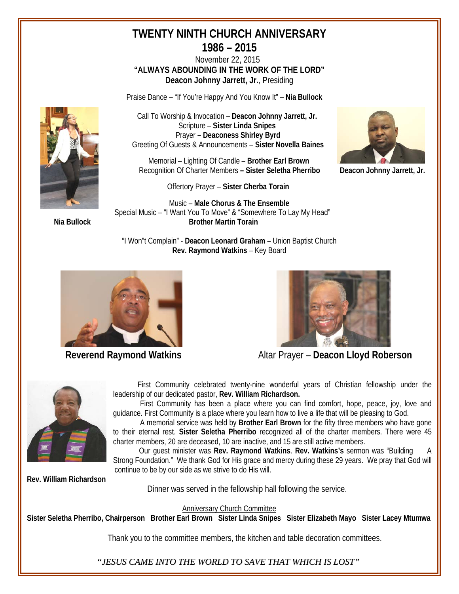## **TWENTY NINTH CHURCH ANNIVERSARY 1986 – 2015**

 November 22, 2015 **"ALWAYS ABOUNDING IN THE WORK OF THE LORD" Deacon Johnny Jarrett, Jr.**, Presiding

Praise Dance – "If You're Happy And You Know It" – **Nia Bullock**



 Call To Worship & Invocation – **Deacon Johnny Jarrett, Jr.** Scripture – **Sister Linda Snipes** Prayer **– Deaconess Shirley Byrd** Greeting Of Guests & Announcements – **Sister Novella Baines**

 Memorial – Lighting Of Candle – **Brother Earl Brown** Recognition Of Charter Members **– Sister Seletha Pherribo Deacon Johnny Jarrett, Jr.**

Offertory Prayer – **Sister Cherba Torain**

 Music – **Male Chorus & The Ensemble** Special Music – "I Want You To Move" & "Somewhere To Lay My Head" **Nia Bullock Brother Martin Torain**







**Reverend Raymond Watkins** Altar Prayer – Deacon Lloyd Roberson



 First Community celebrated twenty-nine wonderful years of Christian fellowship under the leadership of our dedicated pastor, **Rev. William Richardson.**

First Community has been a place where you can find comfort, hope, peace, joy, love and guidance. First Community is a place where you learn how to live a life that will be pleasing to God.

A memorial service was held by **Brother Earl Brown** for the fifty three members who have gone to their eternal rest. **Sister Seletha Pherribo** recognized all of the charter members. There were 45 charter members, 20 are deceased, 10 are inactive, and 15 are still active members.

 Our guest minister was **Rev. Raymond Watkins**. **Rev. Watkins's** sermon was "Building A Strong Foundation." We thank God for His grace and mercy during these 29 years. We pray that God will continue to be by our side as we strive to do His will.

**Rev. William Richardson**

Dinner was served in the fellowship hall following the service.

Anniversary Church Committee

**Sister Seletha Pherribo, Chairperson Brother Earl Brown Sister Linda Snipes Sister Elizabeth Mayo Sister Lacey Mtumwa**

Thank you to the committee members, the kitchen and table decoration committees.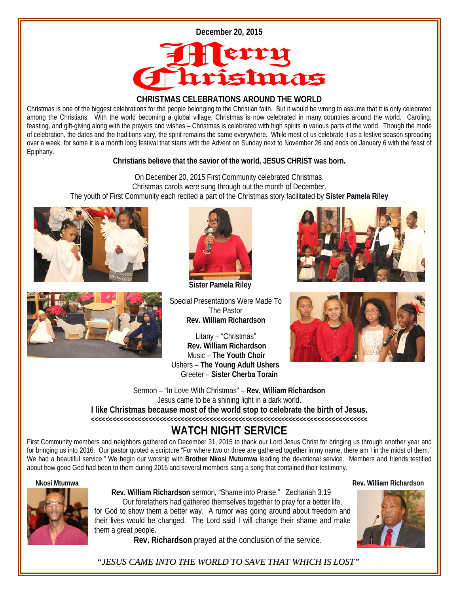



### **CHRISTMAS CELEBRATIONS AROUND THE WORLD**

Christmas is one of the biggest celebrations for the people belonging to the Christian faith. But it would be wrong to assume that it is only celebrated among the Christians. With the world becoming a global village, Christmas is now celebrated in many countries around the world. Caroling, feasting, and gift-giving along with the prayers and wishes – Christmas is celebrated with high spirits in various parts of the world. Though the mode of celebration, the dates and the traditions vary, the spirit remains the same everywhere. While most of us celebrate it as a festive season spreading over a week, for some it is a month long festival that starts with the Advent on Sunday next to November 26 and ends on January 6 with the feast of Epiphany.

### **Christians believe that the savior of the world, JESUS CHRIST was born.**

On December 20, 2015 First Community celebrated Christmas. Christmas carols were sung through out the month of December. The youth of First Community each recited a part of the Christmas story facilitated by **Sister Pamela Riley**







 **Sister Pamela Riley** 

Special Presentations Were Made To The Pastor **Rev. William Richardson**

Litany – "Christmas" **Rev. William Richardson** Music – **The Youth Choir** Ushers – **The Young Adult Ushers** Greeter – **Sister Cherba Torain**





Sermon – "In Love With Christmas" – **Rev. William Richardson** Jesus came to be a shining light in a dark world. **I like Christmas because most of the world stop to celebrate the birth of Jesus.**

**<<<<<<<<<<<<<<<<<<<<<<<<<<<<<<<<<<<<<<<<<<<<<<<<<<<<<<<<<<<<<<<<<<<<<<<<<<<<<**

# **WATCH NIGHT SERVICE**

First Community members and neighbors gathered on December 31, 2015 to thank our Lord Jesus Christ for bringing us through another year and for bringing us into 2016. Our pastor quoted a scripture "For where two or three are gathered together in my name, there am I in the midst of them." We had a beautiful service." We begin our worship with **Brother Nkosi Mutumwa** leading the devotional service. Members and friends testified about how good God had been to them during 2015 and several members sang a song that contained their testimony.

### **Nkosi Mtumwa Rev. William Richardson**



 **Rev. William Richardson** sermon, "Shame into Praise." Zechariah 3:19 Our forefathers had gathered themselves together to pray for a better life, for God to show them a better way. A rumor was going around about freedom and their lives would be changed. The Lord said I will change their shame and make them a great people.

**Rev. Richardson** prayed at the conclusion of the service.

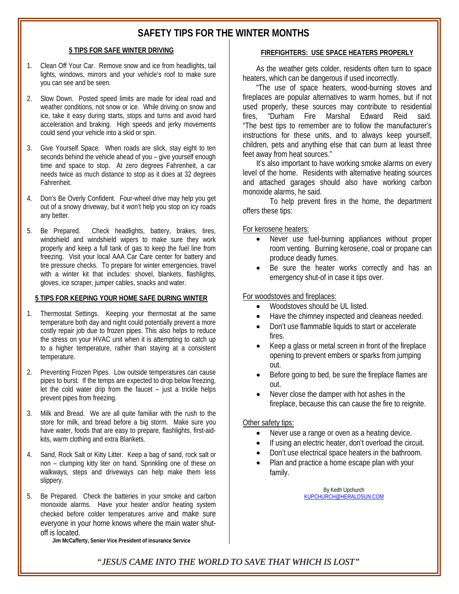### **SAFETY TIPS FOR THE WINTER MONTHS**

#### **5 TIPS FOR SAFE WINTER DRIVING**

- 1. Clean Off Your Car. Remove snow and ice from headlights, tail lights, windows, mirrors and your vehicle's roof to make sure you can see and be seen.
- 2. Slow Down. Posted speed limits are made for ideal road and weather conditions, not snow or ice. While driving on snow and ice, take it easy during starts, stops and turns and avoid hard acceleration and braking. High speeds and jerky movements could send your vehicle into a skid or spin.
- 3. Give Yourself Space. When roads are slick, stay eight to ten seconds behind the vehicle ahead of you – give yourself enough time and space to stop. At zero degrees Fahrenheit, a car needs twice as much distance to stop as it does at 32 degrees Fahrenheit.
- 4. Don's Be Overly Confident. Four-wheel drive may help you get out of a snowy driveway, but it won't help you stop on icy roads any better.
- 5. Be Prepared. Check headlights, battery, brakes, tires, windshield and windshield wipers to make sure they work properly and keep a full tank of gas to keep the fuel line from freezing. Visit your local AAA Car Care center for battery and tire pressure checks. To prepare for winter emergencies, travel with a winter kit that includes: shovel, blankets, flashlights, gloves, ice scraper, jumper cables, snacks and water.

#### **5 TIPS FOR KEEPING YOUR HOME SAFE DURING WINTER**

- 1. Thermostat Settings. Keeping your thermostat at the same temperature both day and night could potentially prevent a more costly repair job due to frozen pipes. This also helps to reduce the stress on your HVAC unit when it is attempting to catch up to a higher temperature, rather than staying at a consistent temperature.
- 2. Preventing Frozen Pipes. Low outside temperatures can cause pipes to burst. If the temps are expected to drop below freezing, let the cold water drip from the faucet – just a trickle helps prevent pipes from freezing.
- 3. Milk and Bread. We are all quite familiar with the rush to the store for milk, and bread before a big storm. Make sure you have water, foods that are easy to prepare, flashlights, first-aidkits, warm clothing and extra Blankets.
- 4. Sand, Rock Salt or Kitty Litter. Keep a bag of sand, rock salt or non – clumping kitty liter on hand. Sprinkling one of these on walkways, steps and driveways can help make them less slippery.
- 5. Be Prepared. Check the batteries in your smoke and carbon monoxide alarms. Have your heater and/or heating system checked before colder temperatures arrive and make sure everyone in your home knows where the main water shutoff is located.

**Jim McCafferty, Senior Vice President of insurance Service**

#### **FIREFIGHTERS: USE SPACE HEATERS PROPERLY**

As the weather gets colder, residents often turn to space heaters, which can be dangerous if used incorrectly.

"The use of space heaters, wood-burning stoves and fireplaces are popular alternatives to warm homes, but if not used properly, these sources may contribute to residential fires, "Durham Fire Marshal Edward Reid said. "The best tips to remember are to follow the manufacturer's instructions for these units, and to always keep yourself, children, pets and anything else that can burn at least three feet away from heat sources."

It's also important to have working smoke alarms on every level of the home. Residents with alternative heating sources and attached garages should also have working carbon monoxide alarms, he said.

To help prevent fires in the home, the department offers these tips:

For kerosene heaters:

- Never use fuel-burning appliances without proper room venting. Burning kerosene, coal or propane can produce deadly fumes.
- Be sure the heater works correctly and has an emergency shut-of in case it tips over.

### For woodstoves and fireplaces:

- Woodstoves should be UL listed.
- Have the chimney inspected and cleaneas needed.
- Don't use flammable liquids to start or accelerate fires.
- Keep a glass or metal screen in front of the fireplace opening to prevent embers or sparks from jumping out.
- Before going to bed, be sure the fireplace flames are out.
- Never close the damper with hot ashes in the fireplace, because this can cause the fire to reignite.

### Other safety tips:

- Never use a range or oven as a heating device.
- If using an electric heater, don't overload the circuit.
- Don't use electrical space heaters in the bathroom.
- Plan and practice a home escape plan with your family.

By Keith Upchurch [KUPCHURCH@HERALDSUN.COM](mailto:KUPCHURCH@HERALDSUN.COM)